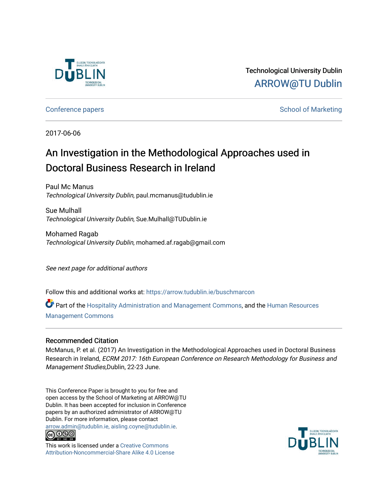

# Technological University Dublin [ARROW@TU Dublin](https://arrow.tudublin.ie/)

# [Conference papers](https://arrow.tudublin.ie/buschmarcon) **School of Marketing** Conference papers **School of Marketing**

2017-06-06

# An Investigation in the Methodological Approaches used in Doctoral Business Research in Ireland

Paul Mc Manus Technological University Dublin, paul.mcmanus@tudublin.ie

Sue Mulhall Technological University Dublin, Sue.Mulhall@TUDublin.ie

Mohamed Ragab Technological University Dublin, mohamed.af.ragab@gmail.com

See next page for additional authors

Follow this and additional works at: [https://arrow.tudublin.ie/buschmarcon](https://arrow.tudublin.ie/buschmarcon?utm_source=arrow.tudublin.ie%2Fbuschmarcon%2F163&utm_medium=PDF&utm_campaign=PDFCoverPages) 

Part of the [Hospitality Administration and Management Commons,](http://network.bepress.com/hgg/discipline/632?utm_source=arrow.tudublin.ie%2Fbuschmarcon%2F163&utm_medium=PDF&utm_campaign=PDFCoverPages) and the [Human Resources](http://network.bepress.com/hgg/discipline/633?utm_source=arrow.tudublin.ie%2Fbuschmarcon%2F163&utm_medium=PDF&utm_campaign=PDFCoverPages) [Management Commons](http://network.bepress.com/hgg/discipline/633?utm_source=arrow.tudublin.ie%2Fbuschmarcon%2F163&utm_medium=PDF&utm_campaign=PDFCoverPages)

# Recommended Citation

McManus, P. et al. (2017) An Investigation in the Methodological Approaches used in Doctoral Business Research in Ireland, ECRM 2017: 16th European Conference on Research Methodology for Business and Management Studies,Dublin, 22-23 June.

This Conference Paper is brought to you for free and open access by the School of Marketing at ARROW@TU Dublin. It has been accepted for inclusion in Conference papers by an authorized administrator of ARROW@TU Dublin. For more information, please contact [arrow.admin@tudublin.ie, aisling.coyne@tudublin.ie](mailto:arrow.admin@tudublin.ie,%20aisling.coyne@tudublin.ie).



This work is licensed under a [Creative Commons](http://creativecommons.org/licenses/by-nc-sa/4.0/) [Attribution-Noncommercial-Share Alike 4.0 License](http://creativecommons.org/licenses/by-nc-sa/4.0/)

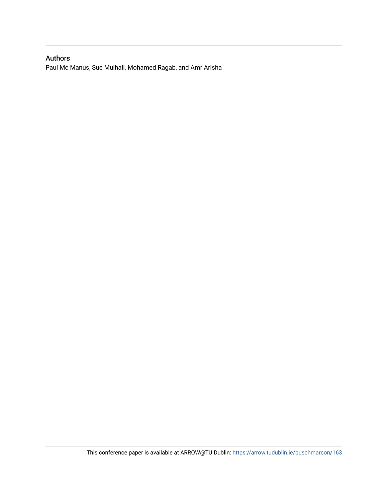# Authors

Paul Mc Manus, Sue Mulhall, Mohamed Ragab, and Amr Arisha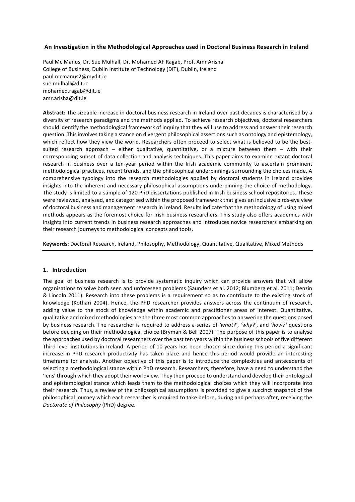#### An Investigation in the Methodological Approaches used in Doctoral Business Research in Ireland

Paul Mc Manus, Dr. Sue Mulhall, Dr. Mohamed AF Ragab, Prof. Amr Arisha College of Business, Dublin Institute of Technology (DIT), Dublin, Ireland paul.mcmanus2@mydit.ie sue.mulhall@dit.ie mohamed.ragab@dit.ie amr.arisha@dit.ie

Abstract: The sizeable increase in doctoral business research in Ireland over past decades is characterised by a diversity of research paradigms and the methods applied. To achieve research objectives, doctoral researchers should identify the methodological framework of inquiry that they will use to address and answer their research question. This involves taking a stance on divergent philosophical assertions such as ontology and epistemology, which reflect how they view the world. Researchers often proceed to select what is believed to be the bestsuited research approach – either qualitative, quantitative, or a mixture between them – with their corresponding subset of data collection and analysis techniques. This paper aims to examine extant doctoral research in business over a ten-year period within the Irish academic community to ascertain prominent methodological practices, recent trends, and the philosophical underpinnings surrounding the choices made. A comprehensive typology into the research methodologies applied by doctoral students in Ireland provides insights into the inherent and necessary philosophical assumptions underpinning the choice of methodology. The study is limited to a sample of 120 PhD dissertations published in Irish business school repositories. These were reviewed, analysed, and categorised within the proposed framework that gives an inclusive birds-eye view of doctoral business and management research in Ireland. Results indicate that the methodology of using mixed methods appears as the foremost choice for Irish business researchers. This study also offers academics with insights into current trends in business research approaches and introduces novice researchers embarking on their research journeys to methodological concepts and tools.

Keywords: Doctoral Research, Ireland, Philosophy, Methodology, Quantitative, Qualitative, Mixed Methods

#### **1. Introduction**

The goal of business research is to provide systematic inquiry which can provide answers that will allow organisations to solve both seen and unforeseen problems (Saunders et al. 2012; Blumberg et al. 2011; Denzin & Lincoln 2011). Research into these problems is a requirement so as to contribute to the existing stock of knowledge (Kothari 2004). Hence, the PhD researcher provides answers across the continuum of research, adding value to the stock of knowledge within academic and practitioner areas of interest. Quantitative, qualitative and mixed methodologies are the three most common approaches to answering the questions posed by business research. The researcher is required to address a series of 'what?', 'why?', and 'how?' questions before deciding on their methodological choice (Bryman & Bell 2007). The purpose of this paper is to analyse the approaches used by doctoral researchers over the past ten years within the business schools of five different Third-level institutions in Ireland. A period of 10 years has been chosen since during this period a significant increase in PhD research productivity has taken place and hence this period would provide an interesting timeframe for analysis. Another objective of this paper is to introduce the complexities and antecedents of selecting a methodological stance within PhD research. Researchers, therefore, have a need to understand the 'lens' through which they adopt their worldview. They then proceed to understand and develop their ontological and epistemological stance which leads them to the methodological choices which they will incorporate into their research. Thus, a review of the philosophical assumptions is provided to give a succinct snapshot of the philosophical journey which each researcher is required to take before, during and perhaps after, receiving the *Doctorate of Philosophy* (PhD) degree.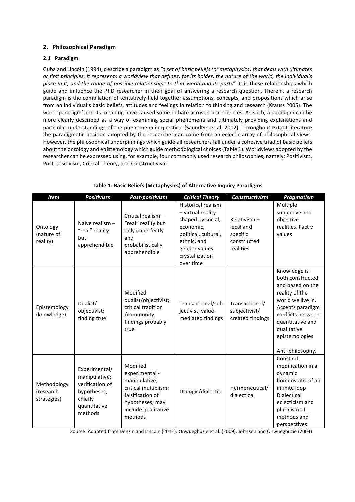# **2. Philosophical Paradigm**

# **2.1 Paradigm**

Guba and Lincoln (1994), describe a paradigm as "a set of basic beliefs (or metaphysics) that deals with ultimates or first principles. It represents a worldview that defines, for its holder, the nature of the world, the individual's *place in it, and the range of possible relationships to that world and its parts".* It is these relationships which guide and influence the PhD researcher in their goal of answering a research question. Therein, a research paradigm is the compilation of tentatively held together assumptions, concepts, and propositions which arise from an individual's basic beliefs, attitudes and feelings in relation to thinking and research (Krauss 2005). The word 'paradigm' and its meaning have caused some debate across social sciences. As such, a paradigm can be more clearly described as a way of examining social phenomena and ultimately providing explanations and particular understandings of the phenomena in question (Saunders et al. 2012). Throughout extant literature the paradigmatic position adopted by the researcher can come from an eclectic array of philosophical views. However, the philosophical underpinnings which guide all researchers fall under a cohesive triad of basic beliefs about the ontology and epistemology which guide methodological choices (Table 1). Worldviews adopted by the researcher can be expressed using, for example, four commonly used research philosophies, namely: Positivism, Post-positivism, Critical Theory, and Constructivism.

| <b>Item</b>                             | <b>Positivism</b>                                                                                      | Post-positivism                                                                                                                              | <b>Critical Theory</b>                                                                                                                                                    | <b>Constructivism</b>                                            | <b>Pragmatism</b>                                                                                                                                                                                             |
|-----------------------------------------|--------------------------------------------------------------------------------------------------------|----------------------------------------------------------------------------------------------------------------------------------------------|---------------------------------------------------------------------------------------------------------------------------------------------------------------------------|------------------------------------------------------------------|---------------------------------------------------------------------------------------------------------------------------------------------------------------------------------------------------------------|
| Ontology<br>(nature of<br>reality)      | Naïve realism -<br>"real" reality<br>but<br>apprehendible                                              | Critical realism -<br>"real" reality but<br>only imperfectly<br>and<br>probabilistically<br>apprehendible                                    | <b>Historical realism</b><br>- virtual reality<br>shaped by social,<br>economic,<br>political, cultural,<br>ethnic, and<br>gender values;<br>crystallization<br>over time | Relativism-<br>local and<br>specific<br>constructed<br>realities | Multiple<br>subjective and<br>objective<br>realities. Fact v<br>values                                                                                                                                        |
| Epistemology<br>(knowledge)             | Dualist/<br>objectivist;<br>finding true                                                               | Modified<br>dualist/objectivist;<br>critical tradition<br>/community;<br>findings probably<br>true                                           | Transactional/sub<br>jectivist; value-<br>mediated findings                                                                                                               | Transactional/<br>subjectivist/<br>created findings              | Knowledge is<br>both constructed<br>and based on the<br>reality of the<br>world we live in.<br>Accepts paradigm<br>conflicts between<br>quantitative and<br>qualitative<br>epistemologies<br>Anti-philosophy. |
| Methodology<br>(research<br>strategies) | Experimental/<br>manipulative;<br>verification of<br>hypotheses;<br>chiefly<br>quantitative<br>methods | Modified<br>experimental -<br>manipulative;<br>critical multiplism;<br>falsification of<br>hypotheses; may<br>include qualitative<br>methods | Dialogic/dialectic                                                                                                                                                        | Hermeneutical/<br>dialectical                                    | Constant<br>modification in a<br>dynamic<br>homeostatic of an<br>infinite loop<br><b>Dialectical</b><br>eclecticism and<br>pluralism of<br>methods and<br>perspectives                                        |

# **Table 1: Basic Beliefs (Metaphysics) of Alternative Inquiry Paradigms**

Source: Adapted from Denzin and Lincoln (2011), Onwuegbuzie et al. (2009), Johnson and Onwuegbuzie (2004)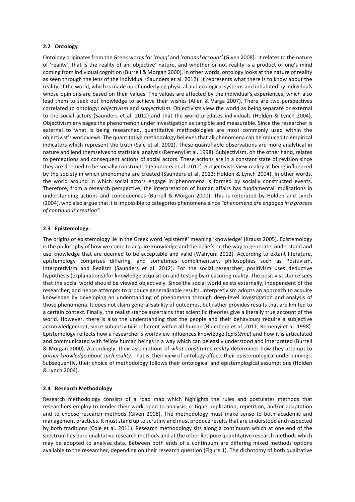#### **2.2 Ontology**

Ontology originates from the Greek words for 'thing' and 'rational account' (Given 2008). It relates to the nature of 'reality', that is the reality of an 'objective' nature, and whether or not reality is a product of one's mind coming from individual cognition (Burrell & Morgan 2000). In other words, ontology looks at the nature of reality as seen through the lens of the individual (Saunders et al. 2012). It represents what there is to know about the reality of the world, which is made up of underlying physical and ecological systems and inhabited by individuals whose opinions are based on their values. The values are affected by the individual's experiences, which also lead them to seek out knowledge to achieve their wishes (Allen & Varga 2007). There are two perspectives correlated to ontology: *objectivism* and *subjectivism*. Objectivists view the world as being separate or external to the social actors (Saunders et al. 2012) and that the world predates individuals (Holden & Lynch 2004). Objectivism envisages the phenomenon under investigation as tangible and measurable. Since the researcher is external to what is being researched, quantitative methodologies are most commonly used within the objectivist's worldviews. The quantitative methodology believes that all phenomena can be reduced to empirical indicators which represent the truth (Sale et al. 2002). These quantifiable observations are more analytical in nature and lend themselves to statistical analysis (Remenyi et al. 1998). Subjectivism, on the other hand, relates to perceptions and consequent actions of social actors. These actions are in a constant state of revision since they are deemed to be socially constructed (Saunders et al. 2012). Subjectivists view reality as being influenced by the society in which phenomena are created (Saunders et al. 2012; Holden & Lynch 2004). In other words, the world around in which social actors engage in phenomena is formed by socially constructed events. Therefore, from a research perspective, the interpretation of human affairs has fundamental implications in understanding actions and consequences (Burrell & Morgan 2000). This is reiterated by Holden and Lynch (2004), who also argue that it is impossible to categories phenomena since "phenomena are engaged in a process *of continuous creation"*. 

#### **2.3 Epistemology:**

The origins of epistemology lie in the Greek word 'epistêmê' meaning 'knowledge' (Krauss 2005). Epistemology is the philosophy of how we come to acquire knowledge and the beliefs on the way to generate, understand and use knowledge that are deemed to be acceptable and valid (Wahyuni 2012). According to extant literature, epistemology comprises differing, and sometimes complimentary, philosophies such as Positivism, Interpretivism and Realism (Saunders et al. 2012). For the social researcher, positivism uses deductive hypothesis (explanations) for knowledge acquisition and testing by measuring reality. The positivist stance sees that the social world should be viewed objectively. Since the social world exists externally, independent of the researcher, and hence attempts to produce generalisable results. Interpretivism adopts an approach to acquire knowledge by developing an understanding of phenomena through deep-level investigation and analysis of those phenomena. It does not claim generalisability of outcomes, but rather provides results that are limited to a certain context. Finally, the realist stance ascertains that scientific theories give a literally true account of the world. However, there is also the understanding that the people and their behaviours require a subjective acknowledgement, since subjectivity is inherent within all human (Blumberg et al. 2011; Remenyi et al. 1998). Epistemology reflects how a researcher's worldview influences knowledge (*epistêmê*) and how it is articulated and communicated with fellow human beings in a way which can be easily understood and interpreted (Burrell & Morgan 2000). Accordingly, their assumptions of what constitutes reality determines how they attempt to *garner knowledge about such reality*. That is, their view of ontology affects their epistemological underpinnings. Subsequently, their choice of methodology follows their ontological and epistemological assumptions (Holden & Lynch 2004).

#### **2.4 Research Methodology**

Research methodology consists of a road map which highlights the rules and postulates methods that researchers employ to render their work open to analysis, critique, replication, repetition, and/or adaptation and to choose research methods (Given 2008). The methodology must make sense to both academic and management practices. It must stand up to scrutiny and must produce results that are understood and respected by both traditions (Cole et al. 2011). Research methodology sits along a continuum which at one end of the spectrum lies pure qualitative research methods and at the other lies pure quantitative research methods which may be adopted to analyse data. Between both ends of a continuum are differing mixed methods options available to the researcher, depending on their research question (Figure 1). The dichotomy of both qualitative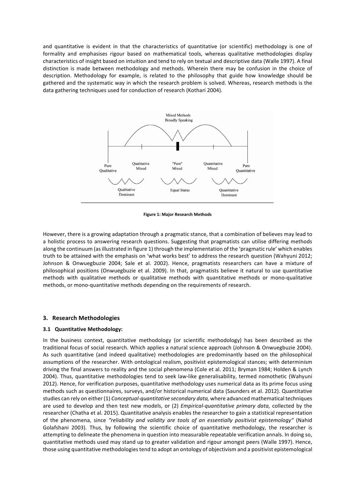and quantitative is evident in that the characteristics of quantitative (or scientific) methodology is one of formality and emphasises rigour based on mathematical tools, whereas qualitative methodologies display characteristics of insight based on intuition and tend to rely on textual and descriptive data (Walle 1997). A final distinction is made between methodology and methods. Wherein there may be confusion in the choice of description. Methodology for example, is related to the philosophy that guide how knowledge should be gathered and the systematic way in which the research problem is solved. Whereas, research methods is the data gathering techniques used for conduction of research (Kothari 2004).



**Figure 1: Major Research Methods** 

However, there is a growing adaptation through a pragmatic stance, that a combination of believes may lead to a holistic process to answering research questions. Suggesting that pragmatists can utilise differing methods along the continuum (as illustrated in figure 1) through the implementation of the 'pragmatic rule' which enables truth to be attained with the emphasis on 'what works best' to address the research question (Wahyuni 2012; Johnson & Onwuegbuzie 2004; Sale et al. 2002). Hence, pragmatists researchers can have a mixture of philosophical positions (Onwuegbuzie et al. 2009). In that, pragmatists believe it natural to use quantitative methods with qualitative methods or qualitative methods with quantitative methods or mono-qualitative methods, or mono-quantitative methods depending on the requirements of research.

#### **3. Research Methodologies**

#### **3.1 Quantitative Methodology:**

In the business context, quantitative methodology (or scientific methodology) has been described as the traditional focus of social research. Which applies a natural science approach (Johnson & Onwuegbuzie 2004). As such quantitative (and indeed qualitative) methodologies are predominantly based on the philosophical assumptions of the researcher. With ontological realism, positivist epistemological stances; with determinism driving the final answers to reality and the social phenomena (Cole et al. 2011; Bryman 1984; Holden & Lynch 2004). Thus, quantitative methodologies tend to seek law-like generalisability, termed nomothetic (Wahyuni 2012). Hence, for verification purposes, quantitative methodology uses numerical data as its prime focus using methods such as questionnaires, surveys, and/or historical numerical data (Saunders et al. 2012). Quantitative studies can rely on either (1) *Conceptual-quantitative secondary data*, where advanced mathematical techniques are used to develop and then test new models, or (2) *Empirical-quantitative primary data,* collected by the researcher (Chatha et al. 2015). Quantitative analysis enables the researcher to gain a statistical representation of the phenomena, since "reliability and validity are tools of an essentially positivist epistemology" (Nahid Golafshani 2003). Thus, by following the scientific choice of quantitative methodology, the researcher is attempting to delineate the phenomena in question into measurable repeatable verification annals. In doing so, quantitative methods used may stand up to greater validation and rigour amongst peers (Walle 1997). Hence, those using quantitative methodologies tend to adopt an ontology of objectivism and a positivist epistemological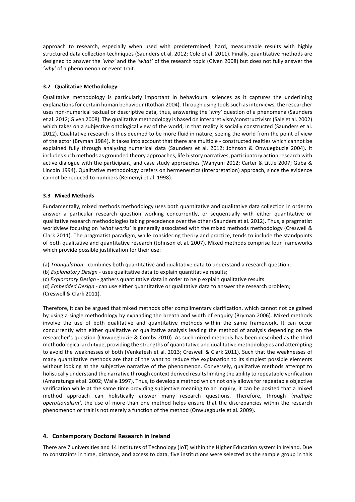approach to research, especially when used with predetermined, hard, measureable results with highly structured data collection techniques (Saunders et al. 2012; Cole et al. 2011). Finally, quantitative methods are designed to answer the 'who' and the 'what' of the research topic (Given 2008) but does not fully answer the 'why' of a phenomenon or event trait.

### **3.2 Qualitative Methodology:**

Qualitative methodology is particularly important in behavioural sciences as it captures the underlining explanations for certain human behaviour (Kothari 2004). Through using tools such as interviews, the researcher uses non-numerical textual or descriptive data, thus, answering the 'why' question of a phenomena (Saunders et al. 2012; Given 2008). The qualitative methodology is based on interpretivism/constructivism (Sale et al. 2002) which takes on a subjective ontological view of the world, in that reality is socially constructed (Saunders et al. 2012). Qualitative research is thus deemed to be more fluid in nature, seeing the world from the point of view of the actor (Bryman 1984). It takes into account that there are multiple - constructed realties which cannot be explained fully through analysing numerical data (Saunders et al. 2012; Johnson & Onwuegbuzie 2004). It includes such methods as grounded theory approaches, life history narratives, participatory action research with active dialogue with the participant, and case study approaches (Wahyuni 2012; Carter & Little 2007; Guba & Lincoln 1994). Qualitative methodology prefers on hermeneutics (interpretation) approach, since the evidence cannot be reduced to numbers (Remenyi et al. 1998).

#### **3.3 Mixed Methods**

Fundamentally, mixed methods methodology uses both quantitative and qualitative data collection in order to answer a particular research question working concurrently, or sequentially with either quantitative or qualitative research methodologies taking precedence over the other (Saunders et al. 2012). Thus, a pragmatist worldview focusing on 'what works' is generally associated with the mixed methods methodology (Creswell & Clark 2011). The pragmatist paradigm, while considering theory and practice, tends to include the standpoints of both qualitative and quantitative research (Johnson et al. 2007). Mixed methods comprise four frameworks which provide possible justification for their use:

(a) *Triangulation* - combines both quantitative and qualitative data to understand a research question;

(b) *Explanatory Design* - uses qualitative data to explain quantitative results;

- (c) *Exploratory Design* gathers quantitative data in order to help explain qualitative results
- (d) *Embedded Design* can use either quantitative or qualitative data to answer the research problem; (Creswell & Clark 2011).

Therefore, it can be argued that mixed methods offer complimentary clarification, which cannot not be gained by using a single methodology by expanding the breath and width of enquiry (Bryman 2006). Mixed methods involve the use of both qualitative and quantitative methods within the same framework. It can occur concurrently with either qualitative or qualitative analysis leading the method of analysis depending on the researcher's question (Onwuegbuzie & Combs 2010). As such mixed methods has been described as the third methodological architype, providing the strengths of quantitative and qualitative methodologies and attempting to avoid the weaknesses of both (Venkatesh et al. 2013; Creswell & Clark 2011). Such that the weaknesses of many quantitative methods are that of the want to reduce the explanation to its simplest possible elements without looking at the subjective narrative of the phenomenon. Conversely, qualitative methods attempt to holistically understand the narrative through context derived results limiting the ability to repeatable verification (Amaratunga et al. 2002; Walle 1997). Thus, to develop a method which not only allows for repeatable objective verification while at the same time providing subjective meaning to an inquiry, it can be posited that a mixed method approach can holistically answer many research questions. Therefore, through 'multiple *operationalism'*, the use of more than one method helps ensure that the discrepancies within the research phenomenon or trait is not merely a function of the method (Onwuegbuzie et al. 2009).

# **4. Contemporary Doctoral Research in Ireland**

There are 7 universities and 14 Institutes of Technology (IoT) within the Higher Education system in Ireland. Due to constraints in time, distance, and access to data, five institutions were selected as the sample group in this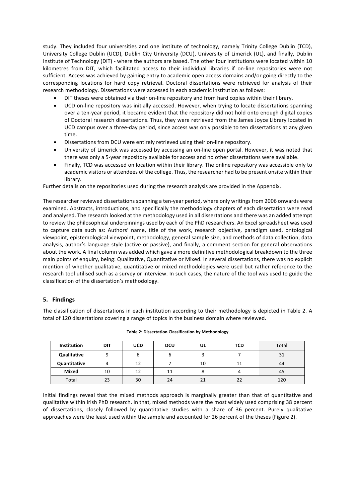study. They included four universities and one institute of technology, namely Trinity College Dublin (TCD), University College Dublin (UCD), Dublin City University (DCU), University of Limerick (UL), and finally, Dublin Institute of Technology (DIT) - where the authors are based. The other four institutions were located within 10 kilometres from DIT, which facilitated access to their individual libraries if on-line repositories were not sufficient. Access was achieved by gaining entry to academic open access domains and/or going directly to the corresponding locations for hard copy retrieval. Doctoral dissertations were retrieved for analysis of their research methodology. Dissertations were accessed in each academic institution as follows:

- DIT theses were obtained via their on-line repository and from hard copies within their library.
- UCD on-line repository was initially accessed. However, when trying to locate dissertations spanning over a ten-year period, it became evident that the repository did not hold onto enough digital copies of Doctoral research dissertations. Thus, they were retrieved from the James Joyce Library located in UCD campus over a three-day period, since access was only possible to ten dissertations at any given time.
- Dissertations from DCU were entirely retrieved using their on-line repository.
- University of Limerick was accessed by accessing an on-line open portal. However, it was noted that there was only a 5-year repository available for access and no other dissertations were available.
- Finally, TCD was accessed on location within their library. The online repository was accessible only to academic visitors or attendees of the college. Thus, the researcher had to be present onsite within their library.

Further details on the repositories used during the research analysis are provided in the Appendix.

The researcher reviewed dissertations spanning a ten-year period, where only writings from 2006 onwards were examined. Abstracts, introductions, and specifically the methodology chapters of each dissertation were read and analysed. The research looked at the methodology used in all dissertations and there was an added attempt to review the philosophical underpinnings used by each of the PhD researchers. An Excel spreadsheet was used to capture data such as: Authors' name, title of the work, research objective, paradigm used, ontological viewpoint, epistemological viewpoint, methodology, general sample size, and methods of data collection, data analysis, author's language style (active or passive), and finally, a comment section for general observations about the work. A final column was added which gave a more definitive methodological breakdown to the three main points of enquiry, being: Qualitative, Quantitative or Mixed. In several dissertations, there was no explicit mention of whether qualitative, quantitative or mixed methodologies were used but rather reference to the research tool utilised such as a survey or interview. In such cases, the nature of the tool was used to guide the classification of the dissertation's methodology.

# **5. Findings**

The classification of dissertations in each institution according to their methodology is depicted in Table 2. A total of 120 dissertations covering a range of topics in the business domain where reviewed.

| <b>Institution</b> | <b>DIT</b> | <b>UCD</b> | <b>DCU</b> | UL | <b>TCD</b> | Total |
|--------------------|------------|------------|------------|----|------------|-------|
| Qualitative        |            | ь          | ь          |    |            | 31    |
| Quantitative       | 4          | 12         |            | 10 | 11         | 44    |
| <b>Mixed</b>       | 10         | 12         | 11         |    |            | 45    |
| Total              | 23         | 30         | 24         | 21 | 22         | 120   |

|  |  | Table 2: Dissertation Classification by Methodology |
|--|--|-----------------------------------------------------|
|  |  |                                                     |

Initial findings reveal that the mixed methods approach is marginally greater than that of quantitative and qualitative within Irish PhD research. In that, mixed methods were the most widely used comprising 38 percent of dissertations, closely followed by quantitative studies with a share of 36 percent. Purely qualitative approaches were the least used within the sample and accounted for 26 percent of the theses (Figure 2).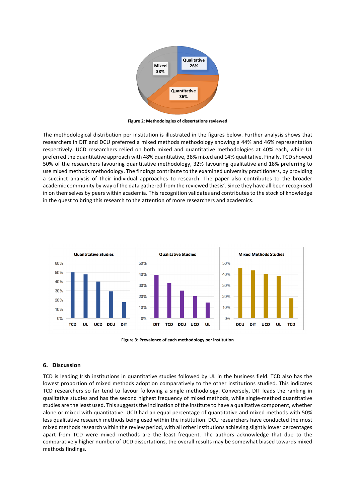

**Figure 2: Methodologies of dissertations reviewed**

The methodological distribution per institution is illustrated in the figures below. Further analysis shows that researchers in DIT and DCU preferred a mixed methods methodology showing a 44% and 46% representation respectively. UCD researchers relied on both mixed and quantitative methodologies at 40% each, while UL preferred the quantitative approach with 48% quantitative, 38% mixed and 14% qualitative. Finally, TCD showed 50% of the researchers favouring quantitative methodology, 32% favouring qualitative and 18% preferring to use mixed methods methodology. The findings contribute to the examined university practitioners, by providing a succinct analysis of their individual approaches to research. The paper also contributes to the broader academic community by way of the data gathered from the reviewed thesis'. Since they have all been recognised in on themselves by peers within academia. This recognition validates and contributes to the stock of knowledge in the quest to bring this research to the attention of more researchers and academics.



Figure 3: Prevalence of each methodology per institution

#### **6. Discussion**

TCD is leading Irish institutions in quantitative studies followed by UL in the business field. TCD also has the lowest proportion of mixed methods adoption comparatively to the other institutions studied. This indicates TCD researchers so far tend to favour following a single methodology. Conversely, DIT leads the ranking in qualitative studies and has the second highest frequency of mixed methods, while single-method quantitative studies are the least used. This suggests the inclination of the institute to have a qualitative component, whether alone or mixed with quantitative. UCD had an equal percentage of quantitative and mixed methods with 50% less qualitative research methods being used within the institution. DCU researchers have conducted the most mixed methods research within the review period, with all other institutions achieving slightly lower percentages apart from TCD were mixed methods are the least frequent. The authors acknowledge that due to the comparatively higher number of UCD dissertations, the overall results may be somewhat biased towards mixed methods findings.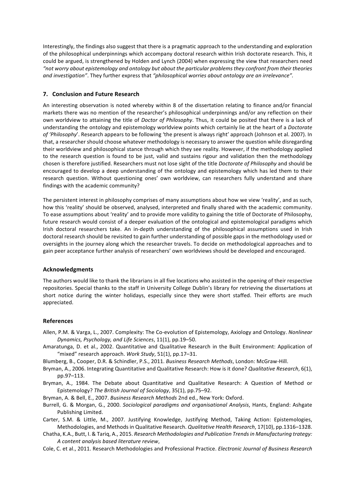Interestingly, the findings also suggest that there is a pragmatic approach to the understanding and exploration of the philosophical underpinnings which accompany doctoral research within Irish doctorate research. This, it could be argued, is strengthened by Holden and Lynch (2004) when expressing the view that researchers need "not worry about epistemology and ontology but about the particular problems they confront from their theories *and investigation"*. They further express that "philosophical worries about ontology are an irrelevance".

#### **7. Conclusion and Future Research**

An interesting observation is noted whereby within 8 of the dissertation relating to finance and/or financial markets there was no mention of the researcher's philosophical underpinnings and/or any reflection on their own worldview to attaining the title of *Doctor of Philosophy*. Thus, it could be posited that there is a lack of understanding the ontology and epistemology worldview points which certainly lie at the heart of a *Doctorate* of 'Philosophy'. Research appears to be following 'the present is always right' approach (Johnson et al. 2007). In that, a researcher should choose whatever methodology is necessary to answer the question while disregarding their worldview and philosophical stance through which they see reality. However, if the methodology applied to the research question is found to be just, valid and sustains rigour and validation then the methodology chosen is therefore justified. Researchers must not lose sight of the title *Doctorate of Philosophy* and should be encouraged to develop a deep understanding of the ontology and epistemology which has led them to their research question. Without questioning ones' own worldview, can researchers fully understand and share findings with the academic community?

The persistent interest in philosophy comprises of many assumptions about how we view 'reality', and as such, how this 'reality' should be observed, analysed, interpreted and finally shared with the academic community. To ease assumptions about 'reality' and to provide more validity to gaining the title of Doctorate of Philosophy, future research would consist of a deeper evaluation of the ontological and epistemological paradigms which Irish doctoral researchers take. An in-depth understanding of the philosophical assumptions used in Irish doctoral research should be revisited to gain further understanding of possible gaps in the methodology used or oversights in the journey along which the researcher travels. To decide on methodological approaches and to gain peer acceptance further analysis of researchers' own worldviews should be developed and encouraged.

# **Acknowledgments**

The authors would like to thank the librarians in all five locations who assisted in the opening of their respective repositories. Special thanks to the staff in University College Dublin's library for retrieving the dissertations at short notice during the winter holidays, especially since they were short staffed. Their efforts are much appreciated.

#### **References**

- Allen, P.M. & Varga, L., 2007. Complexity: The Co-evolution of Epistemology, Axiology and Ontology. *Nonlinear Dynamics, Psychology, and Life Sciences*, 11(1), pp.19–50.
- Amaratunga, D. et al., 2002. Quantitative and Qualitative Research in the Built Environment: Application of "mixed" research approach. Work Study, 51(1), pp.17-31.
- Blumberg, B., Cooper, D.R. & Schindler, P.S., 2011. *Business Research Methods*, London: McGraw-Hill.
- Bryman, A., 2006. Integrating Quantitative and Qualitative Research: How is it done? *Qualitative Research*, 6(1), pp.97–113.
- Bryman, A., 1984. The Debate about Quantitative and Qualitative Research: A Question of Method or Epistemology? The British Journal of Sociology, 35(1), pp.75-92.
- Bryman, A. & Bell, E., 2007. *Business Research Methods* 2nd ed., New York: Oxford.
- Burrell, G. & Morgan, G., 2000. *Sociological paradigms and organisational Analysis*, Hants, England: Ashgate Publishing Limited.
- Carter, S.M. & Little, M., 2007. Justifying Knowledge, Justifying Method, Taking Action: Epistemologies, Methodologies, and Methods in Qualitative Research. *Qualitative Health Research*, 17(10), pp.1316–1328.
- Chatha, K.A., Butt, I. & Tarig, A., 2015. *Research Methodologies and Publication Trends in Manufacturing trategy: A content analysis based literature review*,
- Cole, C. et al., 2011. Research Methodologies and Professional Practice. *Electronic Journal of Business Research*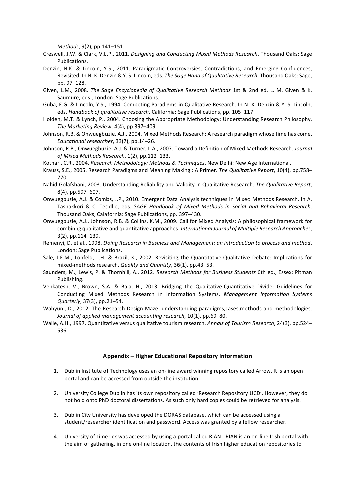*Methods*, 9(2), pp.141–151.

- Creswell, J.W. & Clark, V.L.P., 2011. *Designing and Conducting Mixed Methods Research*, Thousand Oaks: Sage Publications.
- Denzin, N.K. & Lincoln, Y.S., 2011. Paradigmatic Controversies, Contradictions, and Emerging Confluences, Revisited. In N. K. Denzin & Y. S. Lincoln, eds. *The Sage Hand of Qualitative Research*. Thousand Oaks: Sage, pp. 97–128.
- Given, L.M., 2008. *The Sage Encyclopedia of Qualitative Research Methods* 1st & 2nd ed. L. M. Given & K. Saumure, eds., London: Sage Publications.
- Guba, E.G. & Lincoln, Y.S., 1994. Competing Paradigms in Qualitative Research. In N. K. Denzin & Y. S. Lincoln, eds. *Handbook of qualitative research*. California: Sage Publications, pp. 105–117.
- Holden, M.T. & Lynch, P., 2004. Choosing the Appropriate Methodology: Understanding Research Philosophy. *The Marketing Review*, 4(4), pp.397–409.
- Johnson, R.B. & Onwuegbuzie, A.J., 2004. Mixed Methods Research: A research paradigm whose time has come. *Educational researcher*, 33(7), pp.14–26.
- Johnson, R.B., Onwuegbuzie, A.J. & Turner, L.A., 2007. Toward a Definition of Mixed Methods Research. *Journal of Mixed Methods Research*, 1(2), pp.112–133.
- Kothari, C.R., 2004. *Research Methodology: Methods & Techniques*, New Delhi: New Age International.
- Krauss, S.E., 2005. Research Paradigms and Meaning Making : A Primer. *The Qualitative Report*, 10(4), pp.758– 770.
- Nahid Golafshani, 2003. Understanding Reliability and Validity in Qualitative Research. The Qualitative Report, 8(4), pp.597-607.
- Onwuegbuzie, A.J. & Combs, J.P., 2010. Emergent Data Analysis techniques in Mixed Methods Research. In A. Tashakkori & C. Teddlie, eds. SAGE Handbook of Mixed Methods in Social and Behavioral Research. Thousand Oaks, Calafornia: Sage Publications, pp. 397-430.
- Onwuegbuzie, A.J., Johnson, R.B. & Collins, K.M., 2009. Call for Mixed Analysis: A philosophical framework for combinng qualitative and quantitative approaches. International Journal of Multiple Research Approaches,  $3(2)$ , pp.114–139.
- Remenyi, D. et al., 1998. *Doing Research in Business and Management: an introduction to process and method*, London: Sage Publications.
- Sale, J.E.M., Lohfeld, L.H. & Brazil, K., 2002. Revisiting the Quantitative-Qualitative Debate: Implications for mixed-methods research. *Quality and Quantity*, 36(1), pp.43-53.
- Saunders, M., Lewis, P. & Thornhill, A., 2012. *Research Methods for Business Students* 6th ed., Essex: Pitman Publishing.
- Venkatesh, V., Brown, S.A. & Bala, H., 2013. Bridging the Qualitative-Quantitative Divide: Guidelines for Conducting Mixed Methods Research in Information Systems. *Management Information Systems Quarterly*, 37(3), pp.21–54.
- Wahyuni, D., 2012. The Research Design Maze: understanding paradigms,cases,methods and methodologies. Journal of applied management accounting research, 10(1), pp.69-80.
- Walle, A.H., 1997. Quantitative versus qualitative tourism research. Annals of Tourism Research, 24(3), pp.524– 536.

#### **Appendix – Higher Educational Repository Information**

- 1. Dublin Institute of Technology uses an on-line award winning repository called Arrow. It is an open portal and can be accessed from outside the institution.
- 2. University College Dublin has its own repository called 'Research Repository UCD'. However, they do not hold onto PhD doctoral dissertations. As such only hard copies could be retrieved for analysis.
- 3. Dublin City University has developed the DORAS database, which can be accessed using a student/researcher identification and password. Access was granted by a fellow researcher.
- 4. University of Limerick was accessed by using a portal called RIAN RIAN is an on-line Irish portal with the aim of gathering, in one on-line location, the contents of Irish higher education repositories to